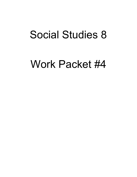## Social Studies 8

# Work Packet #4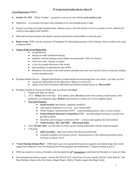#### **8 th Grade Social Studies Review Sheet #9**

#### **Great Depression** *(1930's)*

- *October 29, 1929* "Black Tuesday" prosperity comes to an end with the *stock market crash*.
- Depression an economic downturn when spending is low and unemployment is high
- Farmers not doing well, high unemployment, millions of poor, men left families to travel in search of work, children left school to help support their families.
- State and local governments and charities opened soup kitchens and breadlines to feed the poor.
- **Bonus Army**: WWI veterans marched to Washington DC demanding payment of their bonuses; Hoover called in the army to disperse them
- **Causes of the Great Depression**:
	- overproduction
	- buying on credit/ installment buying
	- problems with the banking system (banks invested people's \$\$\$, no security)
	- stock were risky / buying on margin
	- a very few people held most of the wealth
	- farm problems (overproduction after WWI)
	- Businesses lost money in the stock market and bank crisis and were forced to close or downsize, leading to more unemployment.
- President Herbert Hoover Rugged Individualism, people should succeed through their own efforts; "too little, too late"
	- Americans blamed him for the depression ("Blame it on Hoover")
	- shanty towns full of homeless individuals and families became known as "*Hoovervilles*"
- President Franklin D. Roosevelt (FDR) came up with the *New Deal*:
	- 1. People want help, not charity
	- 2. 3 R's *Relief* (short term help food, shelter, jobs), *Recovery* (restore the economy, help business, limit production, set minimum wage), *Reform* (take measures to make sure it never happens again)
	- 3. New Deal Programs:
		- **Social Security Act** (elderly, orphaned, disability)
		- Agricultural Adjustment Act  $(AAA gave farmers$  \$\$\$)
		- Works Progress Administration (WPA created building projects, jobs to writers, artists)
		- **Federal Deposit Insurance Corporation** (FDIC provided deposit insurance to people who put \$\$\$ in banks)
		- Securities and Exchange Commission (SEC oversees and regulates the stock market)
		- **Social Security, SEC and FDIC – still around today**
	- 4. Used "*fireside chats*" over the radio to create a good, trusting relationship with the American people.
	- 5. Criticisms:
		- *deficit spending* spent more money than the government had
		- $\bullet$  stretched Legislative & Executive power / increased power of the federal government (more involved in citizens' lives)
- **"Court Packing Scheme/Plan"** FDR tried to get a law passed allowing him to appoint extra federal judge that would support him (Supreme Court was declaring New Deal programs unconstitutional) ; Congress refused to pass it.
- FDR was elected to 4 terms as President, after his death the  $22<sup>nd</sup>$  Amendment would limit the President to 2 terms of office
- Entertainment provided an escape movies like *Wizard of Oz, King Kong, Tarzan*; comedy with the "Little Rascals," and Marx Brothers; dancers like Fred Astair, Ginger Rogers, Shirley Temple; singers like Bing Crosby.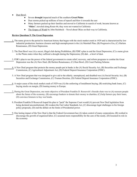- Dust Bowl:
	- Severe **drought** impacted much of the southern **Great Plains**
	- Dust storms picked up millions of tons of topsoil and blew it towards the east
	- Many farmers packed up their families and moved to California in search of work; became known as "**Okies**"; traveled along Route 66; they were not wanted in California
	- The Grapes of Wrath by John Steinbeck Novel about Okies on their way to California.

#### **Review Questions 9: The Great Depression**

- 1. The name given to the period in American history that began with the stock market crash in 1929 and is characterized by low industrial production, business closures and high unemployment is the (A) Marshall Plan, (B) Progressive Era, (C) Harlem Renaissance, (D) Great Depression.
- 2. The Dust Bowl was (A) a secret, illegal club during Prohibition, (B) FDR's plan to end the Great Depression, (C) a name given to the Plains states when they suffered a drought during the Depression, (D) duh…a bowl of dust.
- 3. FDR's plan to use the power of the federal government to create relief, recovery, and reform programs to combat the Great Depression was the (A) New Deal, (B) Harlem Renaissance, (C) Dust Bowl, (D) Court Packing Scheme.
- 4. A New Deal program that protects the money people put in banks is the (A) Social Security Act, (B) Securities and Exchange Commission, (C) Agricultural Adjustment Act, (D) Federal Deposit Insurance Corporation (FDIC).
- 5. A New Deal program that was designed to give aid to the elderly, unemployed, and disabled was (A) Social Security Act, (B) Securities and Exchange Commission, (C) Truman Doctrine, (D) Federal Deposit Insurance Corporation (FDIC).
- 6. A major cause of the stock market crash of 1929 was (A) the outlawing of installment buying, (B) restricting bank loans, (C) buying stocks on margin, (D) loaning money to Europe.
- 7. During the Great Depression, one main objective of President Franklin D. Roosevelt's fireside chats was to (A) reassure people about the future of the economy, (B) encourage bankers to donate their money to charities, (C) help farmers pay their loans, (D) convince listeners to buy war bonds.
- 8. President Franklin D Roosevelt hoped his plan to "pack" the Supreme Court would (A) prevent New Deal legislation from being declared unconstitutional, (B) weaken the Fair Labor Standards Act, (C) discourage legal challenges to his foreign policy proposals, (D) end the debate on the limits of Presidential power.
- 9. One lasting impact of the New Deal is that the Federal Government has (A) taken control of many corporations, (B) worked to discourage the growth of organized labor, (C) assumed more responsibility for the care of the needy, (D) lessened its role in the economy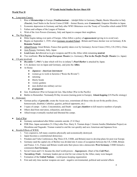## **8 th Grade Social Studies Review Sheet #10**

## **World War II**

- Long-term Causes:
	- 1. Rise of *Dictatorships* in Europe (*Totalitarianism*) Adolph Hitler in Germany (*Nazis*), Benito Mussolini in Italy (*Fascist*), Josef Stalin in the Soviet Union (USSR – former Russia, now *Communist*), Emperor Hirohito in Japan.
	- 2. Economic depression in Germany and Italy after WWI/ Bitterness over the Treaty of Versailles which ended WWI
	- 3. Failure and collapse of the League of Nations
	- 4. Wish of the Axis Powers (Germany, Italy and Japan) to conquer their neighbors.

## The War Begins:

- Hitler begins taking over parts of Europe; Allies follow a policy of *appeasement* (giving in to avoid war).
- Begins on September 1, 1939, when Germany invaded Poland Britain and France declare war on Germany; **U.S. Remains Neutral.**
- Allied Powers: Great Britain, France (but quickly taken over by Germany), Soviet Union (1941), US (1941), China
- Axis Powers: Germany, Italy, Japan
- *Lend-Lease Act* allowed us to give weapons and \$\$ to the Allies while remaining **neutral**.
- Two warfronts: *War in Europe/European Theatre* (vs. Germany), *War in the Pacific*/*Pacific Theatre* (vs. Japan)

## ● US gets involved:

- *December 7, 1941* ("a date which will live in infamy") *Pearl Harbor* is attacked by Japan.
- U.S. declares war on Japan and Germany, and joins the **Allies**.
- At Home:
	- *Japanese –American internment*
	- women go to work in factories ("Rosie the Riveter")
	- rationing
	- liberty bonds
	- victory gardens
	- men drafted into military service
	- *propaganda*
- Gen. Eisenhower (War in Europe)  $& Gen. MacArthur (War in the Pacific)$
- Battles to Remember: Normandy/D-Day invasion (turning point in Europe), *Island-hopping* (US Pacific strategy)
- Holocaust:
	- German policy of *genocide*, create the Aryan race, exterminate all those who do not fit the profile (Jews, homosexuals, disabled, Catholics, gypsies, political opponents, etc.)
	- 3 types of camps Labor, Concentration, and Death used *gas chambers* to kill massive numbers of people.
	- Others died from starvation, exhaustion, and disease.
	- Allied troops eventually reached and liberated the camps.
- End of War:
	- Germany surrendered after Hitler commits suicide. (V-E Day)
	- FDR Dies. Japan surrenders (V-J Day) after Pres. Harry S. Truman drops 2 Atomic bombs (Manhattan Project) on Hiroshima and Nagasaki. Truman wanted to end the war quickly and save American and Japanese lives.

## ● Results/Effects of WWII:

- 1. Very expensive, left many countries physically and economically destroyed.
- 2. Japan becomes a constitutional democracy.
- 3. Potsdam and Yalta Conferences; Big Three (US, USSR, and Britain) meet to develop plans for post-war Europe.
- 4. Germany (and the capital city of Berlin) was divided into 4 zones of occupation between the US, USSR, Britain and France. U.S., France and Britain would unite their pieces into a democratic *West Germany*; USSR formed a communist *East Germany*.
- 5. Soviet Union and U.S. became the chief world powers *Superpowers*. (Start of the *Cold War*).
- 6. *Nuremberg Trials* Germany leaders put on trial for war crimes by the Allies; many were hanged.
- 7. Formation of the **United Nations** world peace-keeping organization
- 8. First and only time nuclear weapons are used negative environmental, political and societal effects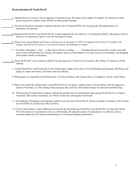- 1. Appeasement is to (A) give into an aggressor to keep the peace, (B) reduce one's supply of weapons, (C) relocate an entire group of people to a prison camp, (D) kill an entire group of people.
- 2. The forced relocation of people of Japanese decent in the US during WWII was (A) genocide, (B) appeasement, (C) internment, (D) fascism.
- 3. During both World War I and World War II, women supported the war effort by, (A) joining the infantry, (B) going to work in factories, (C) gaining the right to vote, (D) returning to college.
- 4. Which event caused Britain and France to declare war on Germany in 1939? (A) signing of the Treaty of Versailles, (B) alliance with the Soviet Union, (C) invasion of Poland, (D) bombing of London.
- 5. "Yesterday, December 7, 1941 a date which will live in infamy . . ." President Roosevelt used these words to describe the (A) start of World War II in Europe, (B) surprise attack on Pearl Harbor, (C) D-Day invasion at Normandy, (D) dropping of the atomic bomb on Hiroshima.
- 6. "Rosie the Riveter" was a wartime symbol of the growing role of women in (A) medicine, (B) college, (C) factories, (D) the military.
- 7. In both World War I and World War II, the United States fought on the side of (A) Great Britain and Germany, (B) Russia and Japan, (C) Japan and France, (D) France and Great Britain.
- 8. What group was responsible for the Holocaust? (A) Fascist Italians, (B) German Nazis, (C) Japanese, (D) the United States
- 9. What event caused the United States to join World War II? (A) Japan's surprise attack on Pearl Harbor, (B) The aggressive actions of Germany, (C) The sinking of the passenger ship *Lusitania*, (D) German attacks on American merchant ships.
- 10. Which group of United States residents suffered the greatest loss of constitutional rights during World War II? (A) Italian Americans, (B) German Americans, (C) African Americans, (D) Japanese Americans
- 11. The bombing of Hiroshima and Nagasaki resulted in (A) the end of World War II, (B) the surrender of Germany, (D) US entry into World War II, (D) the end of the Cold War.
- 12. For the United States, a major difference between the periods following World War I and World War II is that after World War II the nation (A) developed its role as a world leader, (B) adopted a policy of isolationism, (C) suffered a serious economic depression, (D) rejected membership in a world peacekeeping organization.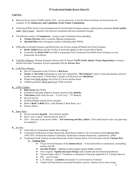## **Cold War**

- Between Soviet Union (USSR) and the USA not an actual war, it was the threat of nuclear war between the two countries. **U. S.: Democracy and Capitalism; Soviet Union: Communism**
- Following WWII, Soviet Union dominated newly freed Eastern European nations, making them communist *Soviet satellite states*. (Iron Curtain – figurative line between communist and non-communist Europe)
- US followed a policy of *Containment* trying to stop Communism from spreading.
	- *Truman Doctrine* (aid to countries fighting communism)
	- *Marshall Plan* (aid to European countries rebuilding after WWII).
- Difficulties in divided Germany and Berlin led to the Soviets cutting off Berlin from West Germany.
	- *Berlin Airlift*-Britain and the US flew in food and supplies to the western half of Berlin.
	- Eventually the *Berlin Wall* was built to stop people from Communist East Berlin from crossing over into Democratic West Berlin.
- Cold War Alliances: Western European Nations and US formed *NATO (North Atlantic Treaty Organization)* vowing to defend each other if attacked. Soviets responded with the *Warsaw Pact*.
- Cold War at Homes:
	- fear of Communists in the US led to a *Red Scare*
	- *Senator J. McCarthy* led hearings to seek out Communists. *"McCarthyism"* came to mean questioning a person's loyalty without proof. ("Witch hunt"); people in Hollywood were *blacklisted*
	- People built bomb shelters out of fear of a Soviet nuclear attack
	- Children practiced "Duck and Cover" Drills at school
- 1950's Culture:
	- **Baby boom** after WWII
	- Eisenhower Interstate Highway System; growth of the **suburbs**,
	- **Televisions** (birth of the sit-com "I Love Lucy" ; TV dinners)
	- drive-in movies
	- GI Bill of Rights (tuition \$\$ for veterans)
	- Birth of **Rock 'n Roll** (Elvis, Little Richard, Chuck Berry, etc.)
	- Science-fiction
- Space Race:
	- Soviets launched *Sputnik* first artificial satellite
	- led to "race to space" between Soviets and US
	- USA first men on the moon (1969) *Neil Armstrong and Buzz Aldrin* ("One small step for man, one giant leap for mankind")

#### ● In Asia:

- China falls to Communism (leader Mao Zedong)
- Communist North Korea invades Democratic South Korea (leads to US involvement and the *Korean War*, 1950-1953). North Korea remains Communist; South Korea remains Democratic; separated by a DMZ.
- Communist North Vietnam invades Democratic South Vietnam (led to US involvement and the *Vietnam War*)
	- **Vietnam War**
		- US got involved because of the *domino theory* if one nation falls to communism, surrounding nations will fall.
		- *Guerilla Warfare* fighting in dense jungles against hidden enemies
		- New weapons: *Napalm and Agent Orange* (led to health and environmental problems)
		- Vietnam began when S. Vietnamese Communists (Vietcong) supported a N. Vietnam takeover.
		- $\bullet$  JFK sent in troops
		- L. B. Johnson *escalation* (increased U.S. involvement in Vietnam)
		- Tonkin Gulf Resolutions (increased President's power), Johnson sent in more troops,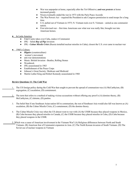- War was unpopular at home, especially after the Tet Offensive; *anti-war protests* at home increased greatly
- Nixon eventually ended the war in 1973 with the Paris Peace Accords
- The War Powers Act required the President to ask Congress permission to send troops for a long time.
- U.S. pulled out of Vietnam in 1975; N. Vietnam took over S. Vietnam united as one communist nation.
- First televised war first time Americans saw what war was really like; brought war into American homes.

## ● In Latin America:

- Fidel Castro takes over Cuba, makes it Communist
- JFK failed *Bay of Pigs* invasion
- JFK *Cuban Missile Crisis* (Russia installed nuclear missiles in Cuba); closest the U.S. ever came to nuclear war

#### 1960's Culture:

- *Hippies* (counterculture)
- women's movement
- anti-war demonstrations
- Music: British Invasion Beatles, Rolling Stones
- Woodstock
- JFK assassinated in 1963
- Establishment of the Peace Corps
- Johnson's Great Society: Medicare and Medicaid
- Martin Luther King and Robert Kennedy assassinated in 1968

#### **Review Questions 11: The Cold War**

- 1. The US foreign policy during the Cold War that sought to prevent the spread of communism was (A) McCarthyism, (B) segregation, (C) escalation, (D) containment.
- 2. The term that refers to a method of making vicious accusations without offering any proof is (A) domino theory, (B) McCarthyism, (C) detente, (D) pardon.
- 3. The belief that if one Southeast Asian nation fell to communism, the rest of Southeast Asia would also fall was known as (A) escalation, (B) the Cuban Missile Crisis, (C) containment, (D) the domino theory.
- 4. The Cuban Missile Crisis was when the US almost went to war with (A) the USSR because they placed weapons in Mexico, (B) Cuba because they placed missiles in Canada, (C) the USSR because they placed missiles in Cuba, (D) Cuba because they placed weapons in the USSR.
- 5. Which was a cause of American involvement in the Vietnam War? (A) Religious differences between North and South Vietnam. (B) American fear of Communist expansion in Asia. (C) The North Korean invasion of South Vietnam. (D) The Soviet use of nuclear weapons in Vietnam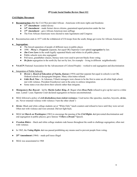## **8 th Grade Social Studies Review Sheet #12**

#### **Civil Rights Movement**

- **Reconstruction** after the Civil War provided African –Americans with more rights and freedoms:
	- *13 th Amendment* ended slavery
	- *14<sup>th</sup> Amendment* made former slaves citizens, guaranteed equal-protection under the law
	- *15<sup>th</sup> Amendment* gave African-American men suffrage
	- The First African-Americans were elected to state legislatures and Congress
- Reconstruction ends in 1877 with the withdrawal of US troops from the south; things get worse for African-Americans

## ● **Segregation:**

- The forced separation of people of different races in public places
- 1896 *Plessy v. Ferguson* (separate, but equal OK) Supreme Court upheld *segregation* by law.
- *Jim Crow Laws* in the south legally separated blacks and whites in all public places.
- Public schools were also segregated.
- Poll taxes, grandfather clauses, literacy tests were used to prevent blacks from voting.
- *De facto* segregation in the north (by fact not by law; for example living in different neighborhoods)
- **NAACP** (National Association for the Advancement of Colored People) worked to end segregation and discrimination
- Integration of Public Schools:
	- *Brown v. Board of Education of Topeka, Kansas* (1954) said that separate but equal in schools is not OK. Ordered schools to desegregate/integrate. Many cities/states refused.
	- *Little Rock Nine* In Arkansas, 9 black teenagers were chosen to be the first to enter an all-white high school, met with violence. President Eisenhower sent in the army to enforce integration.
	- Some states even shut down their schools rather than integrate.
- *Montgomery Bus Boycott* led by *Martin Luther King, Jr*. Began when *Rosa Parks* refused to give up her seat to a white man. Lasted 1 year; Supreme Court declared segregation on busses unconstitutional.
- MLK followed a policy of *civil disobedience/non-violent resistance*. Used tactics like speeches, marches, boycotts, *sit-ins*, etc. Never returned violence with violence ("turn the other cheek")
- *Sit-ins*: Black and white college students sat at "White Only" lunch counters and refused to leave until they were served. Often met with violence and were arrested. Did not fight back.
- MLK led *March on Washington* (1963) to encourage the passing of the *Civil Rights Act* (prevented discrimination and end segregation in public places); gave famous *"I Have a Dream"* Speech.
- *Freedom Riders* black and white college students rode busses throughout the south to challenge segregation; often met with violence.
- In 1965, the *Voting Rights Act* was passed prohibiting any means used to prevent people from voting.
- **25 th Amendment** (1964) made poll taxes illegal
- MLK was assassinated in 1968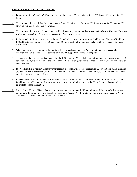#### **Review Questions 12: Civil Rights Movement**

- 1. Forced separation of people of different races in public places is (A) civil disobedience, (B) detente, (C) segregation, (D) sit-in.
- 2. The court case that established "separate but equal" was (A) *Marbury v. Madison*, (B) *Brown v. Board of Education*, (C) *Miranda v. Arizona*, (D) *Plessy v. Ferguson*.
	- 3. The court case that reversed "separate but equal" and ended segregation in schools was (A) *Marbury v. Madison*, (B) *Brown v. Board of Education*, (C) *Miranda v. Arizona*, (D) *Plessy v. Ferguson*.
	- 4. In the struggle for African-American civil rights, Rosa Parks is most closely associated with the (A) March on Washington, D.C., (B) voter registration drives in Mississippi, (C) bus boycott in Montgomery, Alabama, (D) sit-in demonstrations in North Carolina.
	- 5. Which method was used by Martin Luther King, Jr., to protest social injustice? (A) formation of Greenpeace, (B) non-violence/civil disobedience, (C) armed rebellion, (D) support for a new political party
	- 6. The major goal of the civil rights movement of the 1960's was to (A) establish a separate country for African Americans, (B) establish equal rights for women in the United States, (C) end segregation based on race, (D) permit unlimited immigration to the United States
	- 7. In 1957, President Dwight D. Eisenhower sent federal troops to Little Rock, Arkansas, to (A) protect civil rights marchers, (B) help African Americans register to vote, (C) enforce a Supreme Court decision to desegregate public schools, (D) end race riots resulting from a bus boycott.
	- 8. Lunch counter sit-ins and the actions of freedom riders are examples of (A) steps taken in support of the Americans with Disabilities Act, (B) programs dealing with affirmative action, (C) violent acts by the Black Panthers, (D) nonviolent attempts to oppose segregation.
	- 9. Martin Luther King's "I Have a Dream" speech was important because it (A) led to improved living standards for many immigrants, (B) called for a violent revolution in America's cities, (C) drew attention to the inequalities faced by African Americans, (D) helped win voting rights for 18-year-olds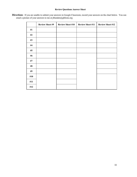## **Review Questions Answer Sheet**

|     | <b>Review Sheet #9</b> | <b>Review Sheet #10</b> | <b>Review Sheet #11</b> | <b>Review Sheet #12</b> |
|-----|------------------------|-------------------------|-------------------------|-------------------------|
| #1  |                        |                         |                         |                         |
| #2  |                        |                         |                         |                         |
| #3  |                        |                         |                         |                         |
| #4  |                        |                         |                         |                         |
| #5  |                        |                         |                         |                         |
| #6  |                        |                         |                         |                         |
| #7  |                        |                         |                         |                         |
| #8  |                        |                         |                         |                         |
| #9  |                        |                         |                         |                         |
| #10 |                        |                         |                         |                         |
| #11 |                        |                         |                         |                         |
| #12 |                        |                         |                         |                         |

**Directions**: If you are unable to submit your answers in Google Classroom, record your answers on the chart below. You can email a picture of your answers to me at jblunden@gblions.org